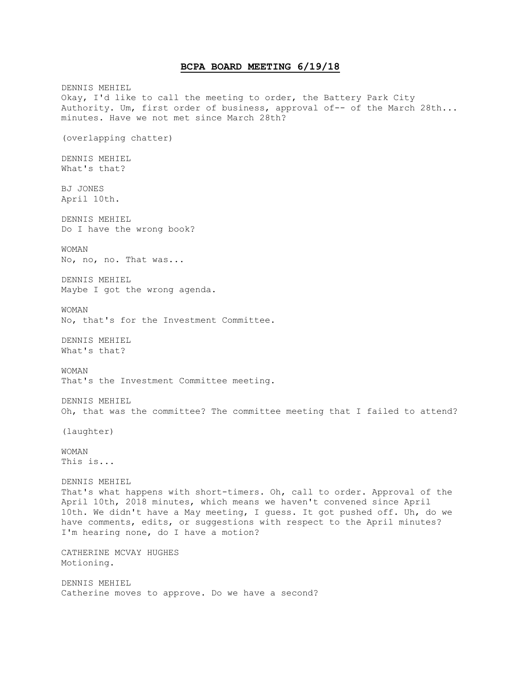# **BCPA BOARD MEETING 6/19/18**

DENNIS MEHIEL Okay, I'd like to call the meeting to order, the Battery Park City Authority. Um, first order of business, approval of-- of the March 28th... minutes. Have we not met since March 28th? (overlapping chatter) DENNIS MEHIEL What's that? BJ JONES April 10th. DENNIS MEHIEL Do I have the wrong book? WOMAN No, no, no. That was... DENNIS MEHIEL Maybe I got the wrong agenda. WOMAN No, that's for the Investment Committee. DENNIS MEHIEL What's that? WOMAN That's the Investment Committee meeting. DENNIS MEHIEL Oh, that was the committee? The committee meeting that I failed to attend? (laughter) WOMAN This is... DENNIS MEHIEL That's what happens with short-timers. Oh, call to order. Approval of the April 10th, 2018 minutes, which means we haven't convened since April 10th. We didn't have a May meeting, I guess. It got pushed off. Uh, do we have comments, edits, or suggestions with respect to the April minutes? I'm hearing none, do I have a motion? CATHERINE MCVAY HUGHES Motioning. DENNIS MEHIEL Catherine moves to approve. Do we have a second?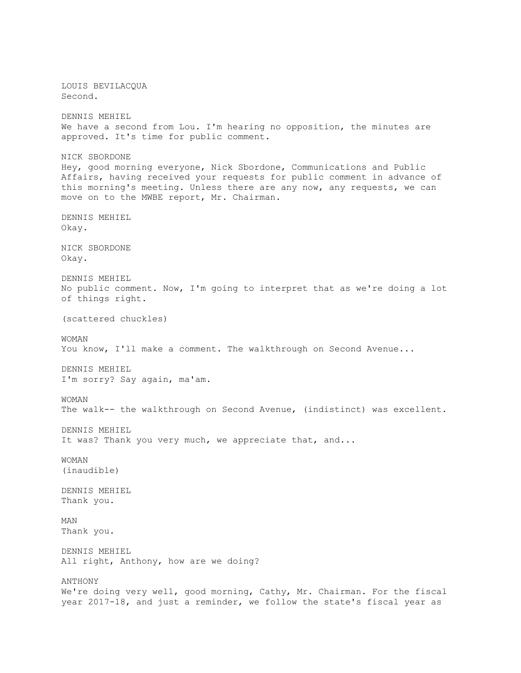LOUIS BEVILACQUA Second. DENNIS MEHIEL We have a second from Lou. I'm hearing no opposition, the minutes are approved. It's time for public comment. NICK SBORDONE Hey, good morning everyone, Nick Sbordone, Communications and Public Affairs, having received your requests for public comment in advance of this morning's meeting. Unless there are any now, any requests, we can move on to the MWBE report, Mr. Chairman. DENNIS MEHIEL Okay. NICK SBORDONE Okay. DENNIS MEHIEL No public comment. Now, I'm going to interpret that as we're doing a lot of things right. (scattered chuckles) WOMAN You know, I'll make a comment. The walkthrough on Second Avenue... DENNIS MEHIEL I'm sorry? Say again, ma'am. WOMAN The walk-- the walkthrough on Second Avenue, (indistinct) was excellent. DENNIS MEHIEL It was? Thank you very much, we appreciate that, and... WOMAN (inaudible) DENNIS MEHIEL Thank you. MAN Thank you. DENNIS MEHIEL All right, Anthony, how are we doing? ANTHONY We're doing very well, good morning, Cathy, Mr. Chairman. For the fiscal year 2017-18, and just a reminder, we follow the state's fiscal year as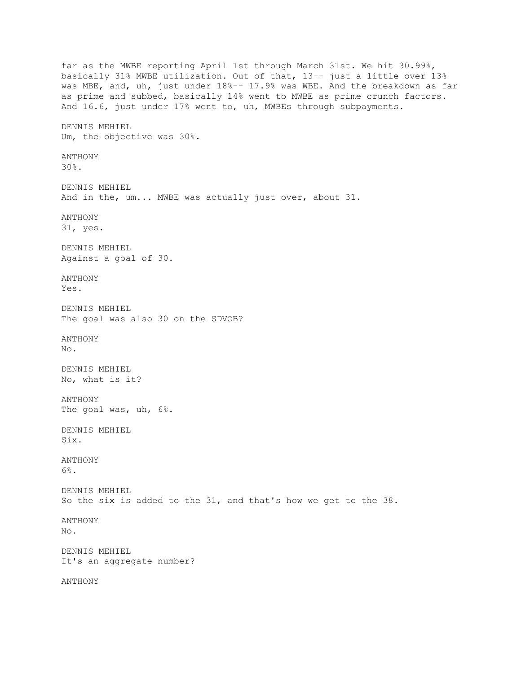far as the MWBE reporting April 1st through March 31st. We hit 30.99%, basically 31% MWBE utilization. Out of that, 13-- just a little over 13% was MBE, and, uh, just under 18%-- 17.9% was WBE. And the breakdown as far as prime and subbed, basically 14% went to MWBE as prime crunch factors. And 16.6, just under 17% went to, uh, MWBEs through subpayments. DENNIS MEHIEL Um, the objective was 30%. ANTHONY 30%. DENNIS MEHIEL And in the, um... MWBE was actually just over, about 31. ANTHONY 31, yes. DENNIS MEHIEL Against a goal of 30. ANTHONY Yes. DENNIS MEHIEL The goal was also 30 on the SDVOB? ANTHONY No. DENNIS MEHIEL No, what is it? ANTHONY The goal was, uh, 6%. DENNIS MEHIEL Six. ANTHONY 6%. DENNIS MEHIEL So the six is added to the 31, and that's how we get to the 38. ANTHONY No. DENNIS MEHIEL It's an aggregate number? ANTHONY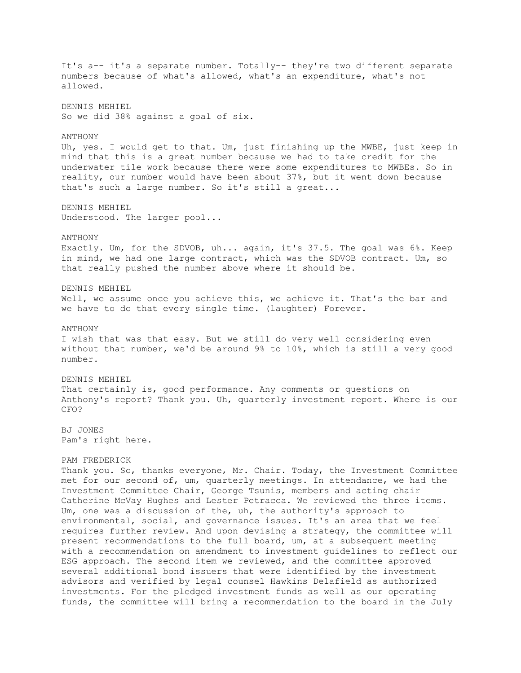It's a-- it's a separate number. Totally-- they're two different separate numbers because of what's allowed, what's an expenditure, what's not allowed. DENNIS MEHIEL So we did 38% against a goal of six. ANTHONY Uh, yes. I would get to that. Um, just finishing up the MWBE, just keep in mind that this is a great number because we had to take credit for the underwater tile work because there were some expenditures to MWBEs. So in reality, our number would have been about 37%, but it went down because that's such a large number. So it's still a great... DENNIS MEHIEL Understood. The larger pool... ANTHONY Exactly. Um, for the SDVOB, uh... again, it's 37.5. The goal was 6%. Keep in mind, we had one large contract, which was the SDVOB contract. Um, so that really pushed the number above where it should be. DENNIS MEHIEL Well, we assume once you achieve this, we achieve it. That's the bar and we have to do that every single time. (laughter) Forever. ANTHONY I wish that was that easy. But we still do very well considering even without that number, we'd be around 9% to 10%, which is still a very good number. DENNIS MEHIEL That certainly is, good performance. Any comments or questions on Anthony's report? Thank you. Uh, quarterly investment report. Where is our CFO? BJ JONES Pam's right here. PAM FREDERICK Thank you. So, thanks everyone, Mr. Chair. Today, the Investment Committee met for our second of, um, quarterly meetings. In attendance, we had the Investment Committee Chair, George Tsunis, members and acting chair Catherine McVay Hughes and Lester Petracca. We reviewed the three items. Um, one was a discussion of the, uh, the authority's approach to environmental, social, and governance issues. It's an area that we feel requires further review. And upon devising a strategy, the committee will present recommendations to the full board, um, at a subsequent meeting with a recommendation on amendment to investment guidelines to reflect our ESG approach. The second item we reviewed, and the committee approved several additional bond issuers that were identified by the investment advisors and verified by legal counsel Hawkins Delafield as authorized investments. For the pledged investment funds as well as our operating

funds, the committee will bring a recommendation to the board in the July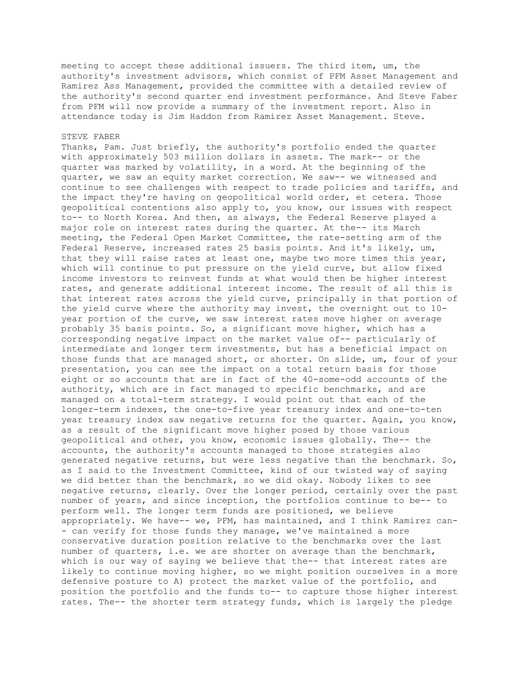meeting to accept these additional issuers. The third item, um, the authority's investment advisors, which consist of PFM Asset Management and Ramirez Ass Management, provided the committee with a detailed review of the authority's second quarter end investment performance. And Steve Faber from PFM will now provide a summary of the investment report. Also in attendance today is Jim Haddon from Ramirez Asset Management. Steve.

## STEVE FABER

Thanks, Pam. Just briefly, the authority's portfolio ended the quarter with approximately 503 million dollars in assets. The mark-- or the quarter was marked by volatility, in a word. At the beginning of the quarter, we saw an equity market correction. We saw-- we witnessed and continue to see challenges with respect to trade policies and tariffs, and the impact they're having on geopolitical world order, et cetera. Those geopolitical contentions also apply to, you know, our issues with respect to-- to North Korea. And then, as always, the Federal Reserve played a major role on interest rates during the quarter. At the-- its March meeting, the Federal Open Market Committee, the rate-setting arm of the Federal Reserve, increased rates 25 basis points. And it's likely, um, that they will raise rates at least one, maybe two more times this year, which will continue to put pressure on the yield curve, but allow fixed income investors to reinvest funds at what would then be higher interest rates, and generate additional interest income. The result of all this is that interest rates across the yield curve, principally in that portion of the yield curve where the authority may invest, the overnight out to 10 year portion of the curve, we saw interest rates move higher on average probably 35 basis points. So, a significant move higher, which has a corresponding negative impact on the market value of-- particularly of intermediate and longer term investments, but has a beneficial impact on those funds that are managed short, or shorter. On slide, um, four of your presentation, you can see the impact on a total return basis for those eight or so accounts that are in fact of the 40-some-odd accounts of the authority, which are in fact managed to specific benchmarks, and are managed on a total-term strategy. I would point out that each of the longer-term indexes, the one-to-five year treasury index and one-to-ten year treasury index saw negative returns for the quarter. Again, you know, as a result of the significant move higher posed by those various geopolitical and other, you know, economic issues globally. The-- the accounts, the authority's accounts managed to those strategies also generated negative returns, but were less negative than the benchmark. So, as I said to the Investment Committee, kind of our twisted way of saying we did better than the benchmark, so we did okay. Nobody likes to see negative returns, clearly. Over the longer period, certainly over the past number of years, and since inception, the portfolios continue to be-- to perform well. The longer term funds are positioned, we believe appropriately. We have-- we, PFM, has maintained, and I think Ramirez can- - can verify for those funds they manage, we've maintained a more conservative duration position relative to the benchmarks over the last number of quarters, i.e. we are shorter on average than the benchmark, which is our way of saying we believe that the-- that interest rates are likely to continue moving higher, so we might position ourselves in a more defensive posture to A) protect the market value of the portfolio, and position the portfolio and the funds to-- to capture those higher interest rates. The-- the shorter term strategy funds, which is largely the pledge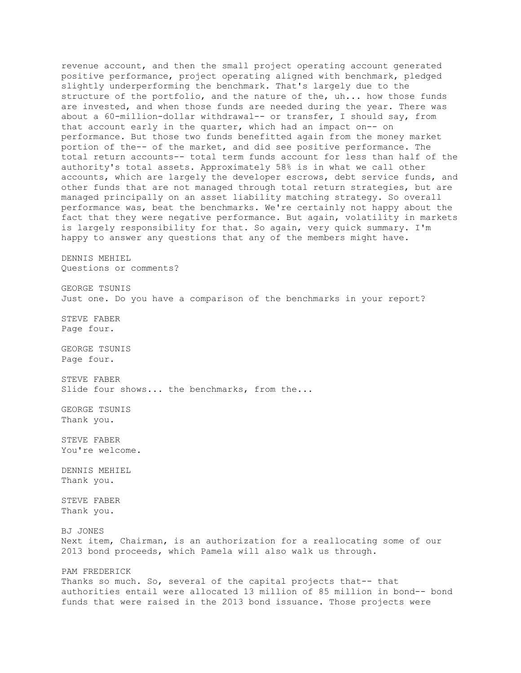revenue account, and then the small project operating account generated positive performance, project operating aligned with benchmark, pledged slightly underperforming the benchmark. That's largely due to the structure of the portfolio, and the nature of the, uh... how those funds are invested, and when those funds are needed during the year. There was about a 60-million-dollar withdrawal-- or transfer, I should say, from that account early in the quarter, which had an impact on-- on performance. But those two funds benefitted again from the money market portion of the-- of the market, and did see positive performance. The total return accounts-- total term funds account for less than half of the authority's total assets. Approximately 58% is in what we call other accounts, which are largely the developer escrows, debt service funds, and other funds that are not managed through total return strategies, but are managed principally on an asset liability matching strategy. So overall performance was, beat the benchmarks. We're certainly not happy about the fact that they were negative performance. But again, volatility in markets is largely responsibility for that. So again, very quick summary. I'm happy to answer any questions that any of the members might have. DENNIS MEHIEL Questions or comments? GEORGE TSUNIS Just one. Do you have a comparison of the benchmarks in your report? STEVE FABER Page four. GEORGE TSUNIS Page four. STEVE FABER Slide four shows... the benchmarks, from the... GEORGE TSUNIS Thank you. STEVE FABER You're welcome. DENNIS MEHIEL Thank you. STEVE FABER Thank you. BJ JONES Next item, Chairman, is an authorization for a reallocating some of our 2013 bond proceeds, which Pamela will also walk us through. PAM FREDERICK Thanks so much. So, several of the capital projects that-- that authorities entail were allocated 13 million of 85 million in bond-- bond funds that were raised in the 2013 bond issuance. Those projects were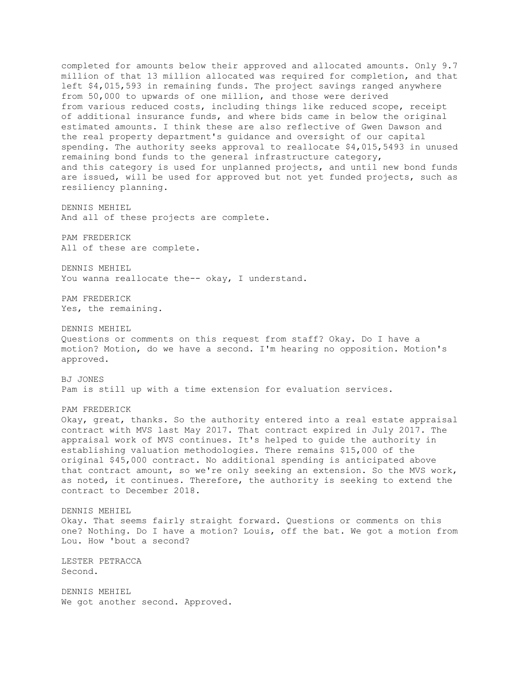completed for amounts below their approved and allocated amounts. Only 9.7 million of that 13 million allocated was required for completion, and that left \$4,015,593 in remaining funds. The project savings ranged anywhere from 50,000 to upwards of one million, and those were derived from various reduced costs, including things like reduced scope, receipt of additional insurance funds, and where bids came in below the original estimated amounts. I think these are also reflective of Gwen Dawson and the real property department's guidance and oversight of our capital spending. The authority seeks approval to reallocate \$4,015,5493 in unused remaining bond funds to the general infrastructure category, and this category is used for unplanned projects, and until new bond funds are issued, will be used for approved but not yet funded projects, such as resiliency planning.

DENNIS MEHIEL And all of these projects are complete.

PAM FREDERICK All of these are complete.

DENNIS MEHIEL You wanna reallocate the-- okay, I understand.

PAM FREDERICK Yes, the remaining.

DENNIS MEHIEL Questions or comments on this request from staff? Okay. Do I have a motion? Motion, do we have a second. I'm hearing no opposition. Motion's approved.

BJ JONES Pam is still up with a time extension for evaluation services.

PAM FREDERICK

Okay, great, thanks. So the authority entered into a real estate appraisal contract with MVS last May 2017. That contract expired in July 2017. The appraisal work of MVS continues. It's helped to guide the authority in establishing valuation methodologies. There remains \$15,000 of the original \$45,000 contract. No additional spending is anticipated above that contract amount, so we're only seeking an extension. So the MVS work, as noted, it continues. Therefore, the authority is seeking to extend the contract to December 2018.

DENNIS MEHIEL Okay. That seems fairly straight forward. Questions or comments on this one? Nothing. Do I have a motion? Louis, off the bat. We got a motion from Lou. How 'bout a second?

LESTER PETRACCA Second.

DENNIS MEHIEL We got another second. Approved.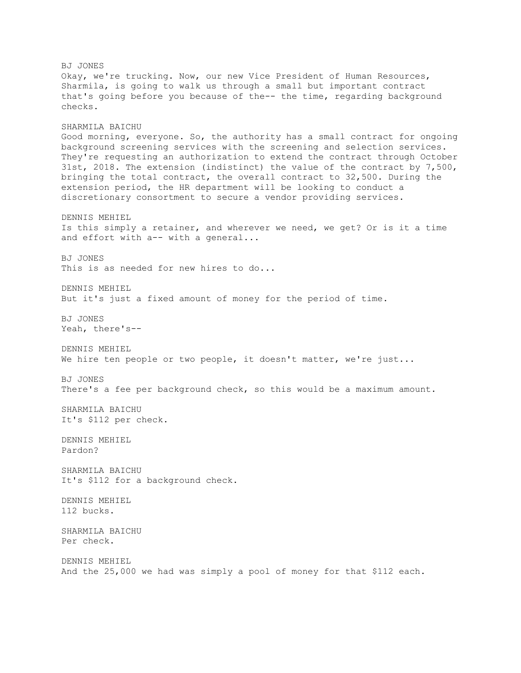BJ JONES Okay, we're trucking. Now, our new Vice President of Human Resources, Sharmila, is going to walk us through a small but important contract that's going before you because of the-- the time, regarding background checks. SHARMILA BAICHU Good morning, everyone. So, the authority has a small contract for ongoing background screening services with the screening and selection services. They're requesting an authorization to extend the contract through October 31st, 2018. The extension (indistinct) the value of the contract by 7,500, bringing the total contract, the overall contract to 32,500. During the extension period, the HR department will be looking to conduct a discretionary consortment to secure a vendor providing services. DENNIS MEHIEL Is this simply a retainer, and wherever we need, we get? Or is it a time and effort with a-- with a general... BJ JONES This is as needed for new hires to do... DENNIS MEHIEL But it's just a fixed amount of money for the period of time. BJ JONES Yeah, there's-- DENNIS MEHIEL We hire ten people or two people, it doesn't matter, we're just... BJ JONES There's a fee per background check, so this would be a maximum amount. SHARMILA BAICHU It's \$112 per check. DENNIS MEHIEL Pardon? SHARMILA BAICHU It's \$112 for a background check. DENNIS MEHIEL 112 bucks. SHARMILA BAICHU Per check. DENNIS MEHIEL And the 25,000 we had was simply a pool of money for that \$112 each.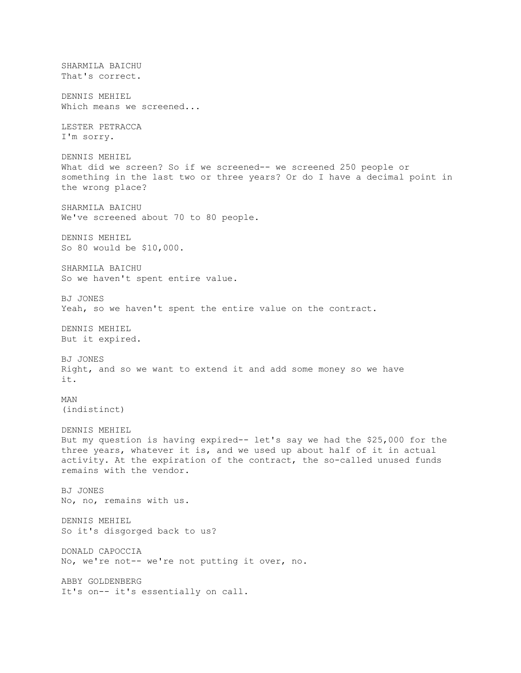SHARMILA BAICHU That's correct. DENNIS MEHIEL Which means we screened... LESTER PETRACCA I'm sorry. DENNIS MEHIEL What did we screen? So if we screened-- we screened 250 people or something in the last two or three years? Or do I have a decimal point in the wrong place? SHARMILA BAICHU We've screened about 70 to 80 people. DENNIS MEHIEL So 80 would be \$10,000. SHARMILA BAICHU So we haven't spent entire value. BJ JONES Yeah, so we haven't spent the entire value on the contract. DENNIS MEHIEL But it expired. BJ JONES Right, and so we want to extend it and add some money so we have it. MAN (indistinct) DENNIS MEHIEL But my question is having expired-- let's say we had the \$25,000 for the three years, whatever it is, and we used up about half of it in actual activity. At the expiration of the contract, the so-called unused funds remains with the vendor. BJ JONES No, no, remains with us. DENNIS MEHIEL So it's disgorged back to us? DONALD CAPOCCIA No, we're not-- we're not putting it over, no. ABBY GOLDENBERG It's on-- it's essentially on call.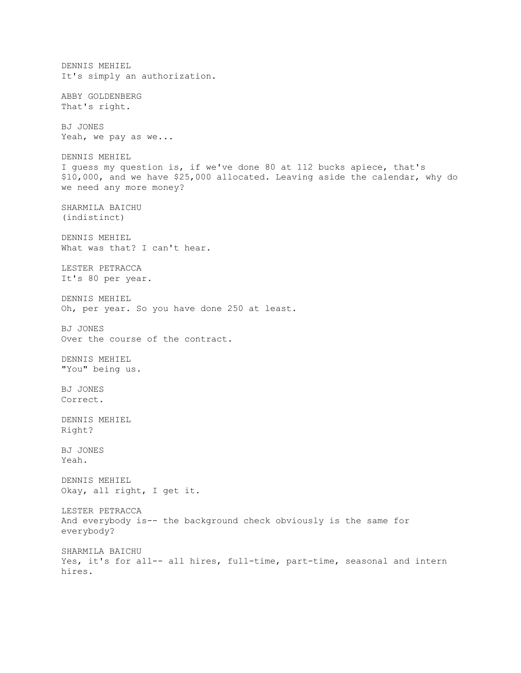DENNIS MEHIEL It's simply an authorization. ABBY GOLDENBERG That's right. BJ JONES Yeah, we pay as we... DENNIS MEHIEL I guess my question is, if we've done 80 at 112 bucks apiece, that's \$10,000, and we have \$25,000 allocated. Leaving aside the calendar, why do we need any more money? SHARMILA BAICHU (indistinct) DENNIS MEHIEL What was that? I can't hear. LESTER PETRACCA It's 80 per year. DENNIS MEHIEL Oh, per year. So you have done 250 at least. BJ JONES Over the course of the contract. DENNIS MEHIEL "You" being us. BJ JONES Correct. DENNIS MEHIEL Right? BJ JONES Yeah. DENNIS MEHIEL Okay, all right, I get it. LESTER PETRACCA And everybody is-- the background check obviously is the same for everybody? SHARMILA BAICHU Yes, it's for all-- all hires, full-time, part-time, seasonal and intern hires.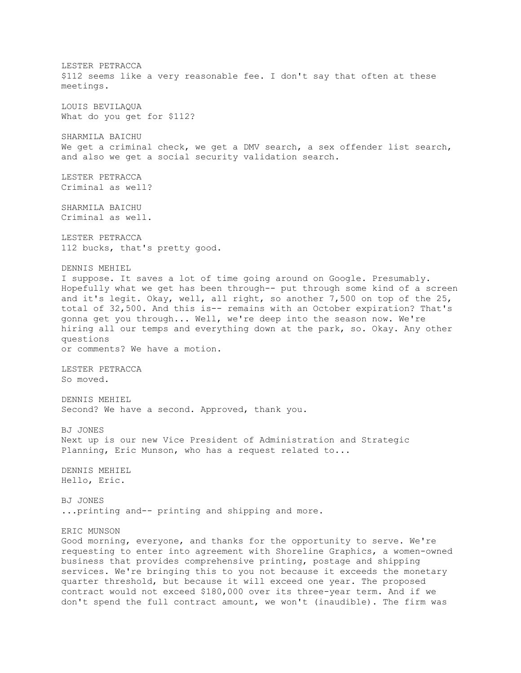LESTER PETRACCA \$112 seems like a very reasonable fee. I don't say that often at these meetings. LOUIS BEVILAQUA What do you get for \$112? SHARMILA BAICHU We get a criminal check, we get a DMV search, a sex offender list search, and also we get a social security validation search. LESTER PETRACCA Criminal as well? SHARMILA BAICHU Criminal as well. LESTER PETRACCA 112 bucks, that's pretty good. DENNIS MEHIEL I suppose. It saves a lot of time going around on Google. Presumably. Hopefully what we get has been through-- put through some kind of a screen and it's legit. Okay, well, all right, so another 7,500 on top of the 25, total of 32,500. And this is-- remains with an October expiration? That's gonna get you through... Well, we're deep into the season now. We're hiring all our temps and everything down at the park, so. Okay. Any other questions or comments? We have a motion. LESTER PETRACCA So moved. DENNIS MEHIEL Second? We have a second. Approved, thank you. BJ JONES Next up is our new Vice President of Administration and Strategic Planning, Eric Munson, who has a request related to... DENNIS MEHIEL Hello, Eric. BJ JONES ...printing and-- printing and shipping and more. ERIC MUNSON Good morning, everyone, and thanks for the opportunity to serve. We're requesting to enter into agreement with Shoreline Graphics, a women-owned business that provides comprehensive printing, postage and shipping services. We're bringing this to you not because it exceeds the monetary quarter threshold, but because it will exceed one year. The proposed contract would not exceed \$180,000 over its three-year term. And if we

don't spend the full contract amount, we won't (inaudible). The firm was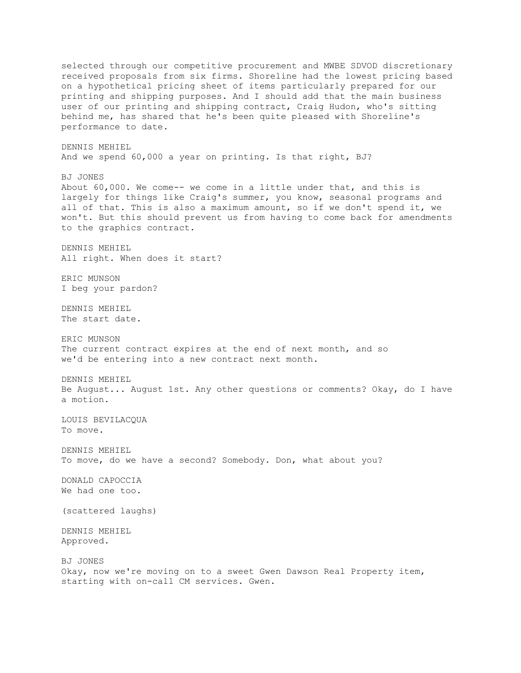selected through our competitive procurement and MWBE SDVOD discretionary received proposals from six firms. Shoreline had the lowest pricing based on a hypothetical pricing sheet of items particularly prepared for our printing and shipping purposes. And I should add that the main business user of our printing and shipping contract, Craig Hudon, who's sitting behind me, has shared that he's been quite pleased with Shoreline's performance to date. DENNIS MEHIEL And we spend 60,000 a year on printing. Is that right, BJ? BJ JONES About 60,000. We come-- we come in a little under that, and this is largely for things like Craig's summer, you know, seasonal programs and all of that. This is also a maximum amount, so if we don't spend it, we won't. But this should prevent us from having to come back for amendments to the graphics contract. DENNIS MEHIEL All right. When does it start? ERIC MUNSON I beg your pardon? DENNIS MEHIEL The start date. ERIC MUNSON The current contract expires at the end of next month, and so we'd be entering into a new contract next month. DENNIS MEHIEL Be August... August 1st. Any other questions or comments? Okay, do I have a motion. LOUIS BEVILACQUA To move. DENNIS MEHIEL To move, do we have a second? Somebody. Don, what about you? DONALD CAPOCCIA We had one too. (scattered laughs) DENNIS MEHIEL Approved. BJ JONES Okay, now we're moving on to a sweet Gwen Dawson Real Property item, starting with on-call CM services. Gwen.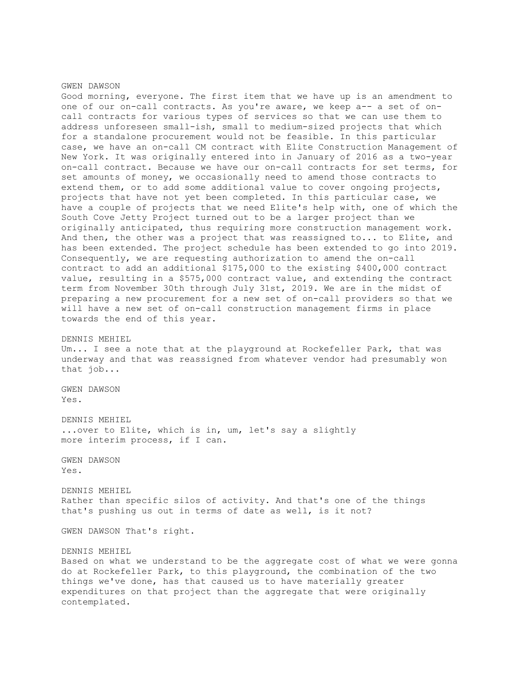#### GWEN DAWSON

Good morning, everyone. The first item that we have up is an amendment to one of our on-call contracts. As you're aware, we keep a-- a set of oncall contracts for various types of services so that we can use them to address unforeseen small-ish, small to medium-sized projects that which for a standalone procurement would not be feasible. In this particular case, we have an on-call CM contract with Elite Construction Management of New York. It was originally entered into in January of 2016 as a two-year on-call contract. Because we have our on-call contracts for set terms, for set amounts of money, we occasionally need to amend those contracts to extend them, or to add some additional value to cover ongoing projects, projects that have not yet been completed. In this particular case, we have a couple of projects that we need Elite's help with, one of which the South Cove Jetty Project turned out to be a larger project than we originally anticipated, thus requiring more construction management work. And then, the other was a project that was reassigned to... to Elite, and has been extended. The project schedule has been extended to go into 2019. Consequently, we are requesting authorization to amend the on-call contract to add an additional \$175,000 to the existing \$400,000 contract value, resulting in a \$575,000 contract value, and extending the contract term from November 30th through July 31st, 2019. We are in the midst of preparing a new procurement for a new set of on-call providers so that we will have a new set of on-call construction management firms in place towards the end of this year.

## DENNIS MEHIEL

Um... I see a note that at the playground at Rockefeller Park, that was underway and that was reassigned from whatever vendor had presumably won that job...

GWEN DAWSON Yes.

DENNIS MEHIEL ...over to Elite, which is in, um, let's say a slightly more interim process, if I can.

GWEN DAWSON Yes.

DENNIS MEHIEL Rather than specific silos of activity. And that's one of the things that's pushing us out in terms of date as well, is it not?

GWEN DAWSON That's right.

DENNIS MEHIEL

Based on what we understand to be the aggregate cost of what we were gonna do at Rockefeller Park, to this playground, the combination of the two things we've done, has that caused us to have materially greater expenditures on that project than the aggregate that were originally contemplated.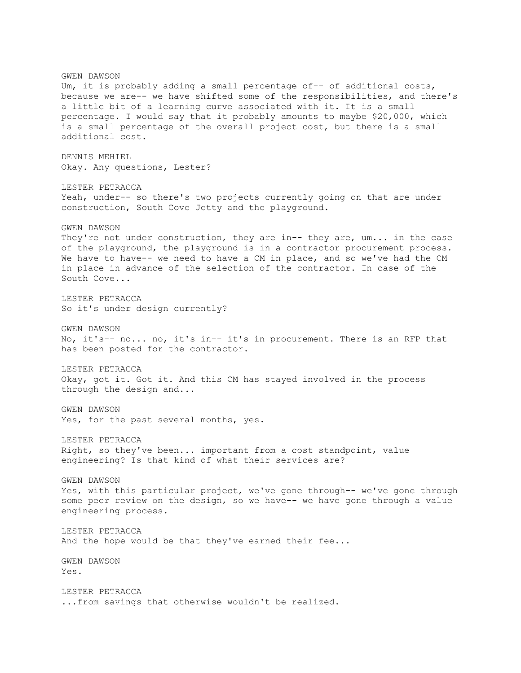GWEN DAWSON Um, it is probably adding a small percentage of-- of additional costs, because we are-- we have shifted some of the responsibilities, and there's a little bit of a learning curve associated with it. It is a small percentage. I would say that it probably amounts to maybe \$20,000, which is a small percentage of the overall project cost, but there is a small additional cost. DENNIS MEHIEL Okay. Any questions, Lester? LESTER PETRACCA Yeah, under-- so there's two projects currently going on that are under construction, South Cove Jetty and the playground. GWEN DAWSON They're not under construction, they are in-- they are, um... in the case of the playground, the playground is in a contractor procurement process. We have to have-- we need to have a CM in place, and so we've had the CM in place in advance of the selection of the contractor. In case of the South Cove... LESTER PETRACCA So it's under design currently? GWEN DAWSON No, it's-- no... no, it's in-- it's in procurement. There is an RFP that has been posted for the contractor. LESTER PETRACCA Okay, got it. Got it. And this CM has stayed involved in the process through the design and... GWEN DAWSON Yes, for the past several months, yes. LESTER PETRACCA Right, so they've been... important from a cost standpoint, value engineering? Is that kind of what their services are? GWEN DAWSON Yes, with this particular project, we've gone through-- we've gone through some peer review on the design, so we have-- we have gone through a value engineering process. LESTER PETRACCA And the hope would be that they've earned their fee... GWEN DAWSON Yes. LESTER PETRACCA ...from savings that otherwise wouldn't be realized.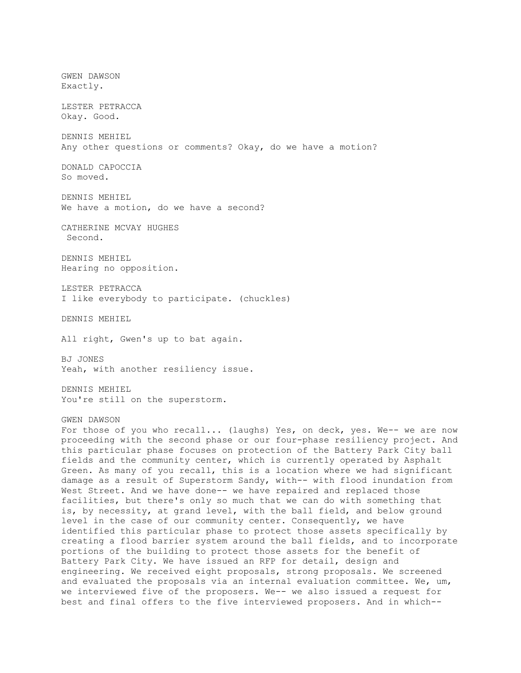GWEN DAWSON Exactly. LESTER PETRACCA Okay. Good. DENNIS MEHIEL Any other questions or comments? Okay, do we have a motion? DONALD CAPOCCIA So moved. DENNIS MEHIEL We have a motion, do we have a second? CATHERINE MCVAY HUGHES Second. DENNIS MEHIEL Hearing no opposition. LESTER PETRACCA I like everybody to participate. (chuckles) DENNIS MEHIEL All right, Gwen's up to bat again. BJ JONES Yeah, with another resiliency issue. DENNIS MEHIEL You're still on the superstorm. GWEN DAWSON For those of you who recall... (laughs) Yes, on deck, yes. We-- we are now proceeding with the second phase or our four-phase resiliency project. And this particular phase focuses on protection of the Battery Park City ball fields and the community center, which is currently operated by Asphalt Green. As many of you recall, this is a location where we had significant damage as a result of Superstorm Sandy, with-- with flood inundation from West Street. And we have done-- we have repaired and replaced those facilities, but there's only so much that we can do with something that is, by necessity, at grand level, with the ball field, and below ground level in the case of our community center. Consequently, we have identified this particular phase to protect those assets specifically by creating a flood barrier system around the ball fields, and to incorporate portions of the building to protect those assets for the benefit of Battery Park City. We have issued an RFP for detail, design and engineering. We received eight proposals, strong proposals. We screened and evaluated the proposals via an internal evaluation committee. We, um, we interviewed five of the proposers. We-- we also issued a request for best and final offers to the five interviewed proposers. And in which--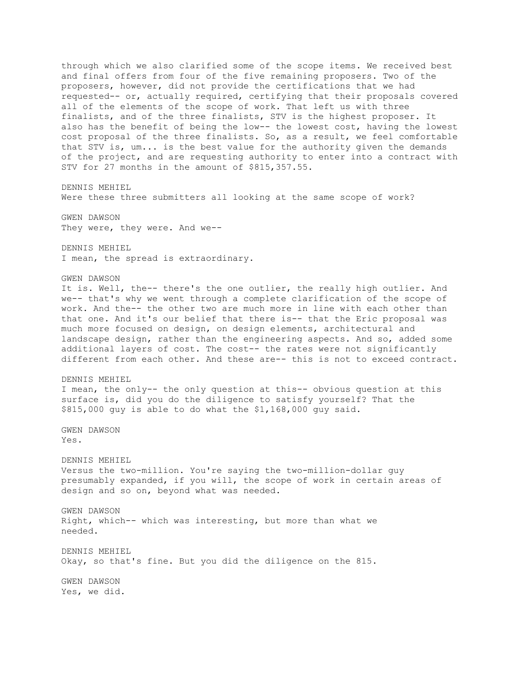through which we also clarified some of the scope items. We received best and final offers from four of the five remaining proposers. Two of the proposers, however, did not provide the certifications that we had requested-- or, actually required, certifying that their proposals covered all of the elements of the scope of work. That left us with three finalists, and of the three finalists, STV is the highest proposer. It also has the benefit of being the low-- the lowest cost, having the lowest cost proposal of the three finalists. So, as a result, we feel comfortable that STV is, um... is the best value for the authority given the demands of the project, and are requesting authority to enter into a contract with STV for 27 months in the amount of \$815,357.55. DENNIS MEHIEL Were these three submitters all looking at the same scope of work? GWEN DAWSON They were, they were. And we-- DENNIS MEHIEL I mean, the spread is extraordinary. GWEN DAWSON It is. Well, the-- there's the one outlier, the really high outlier. And we-- that's why we went through a complete clarification of the scope of work. And the-- the other two are much more in line with each other than that one. And it's our belief that there is-- that the Eric proposal was much more focused on design, on design elements, architectural and landscape design, rather than the engineering aspects. And so, added some additional layers of cost. The cost-- the rates were not significantly different from each other. And these are-- this is not to exceed contract. DENNIS MEHIEL I mean, the only-- the only question at this-- obvious question at this surface is, did you do the diligence to satisfy yourself? That the \$815,000 guy is able to do what the \$1,168,000 guy said. GWEN DAWSON Yes. DENNIS MEHIEL Versus the two-million. You're saying the two-million-dollar guy presumably expanded, if you will, the scope of work in certain areas of design and so on, beyond what was needed. GWEN DAWSON Right, which-- which was interesting, but more than what we needed. DENNIS MEHIEL Okay, so that's fine. But you did the diligence on the 815. GWEN DAWSON Yes, we did.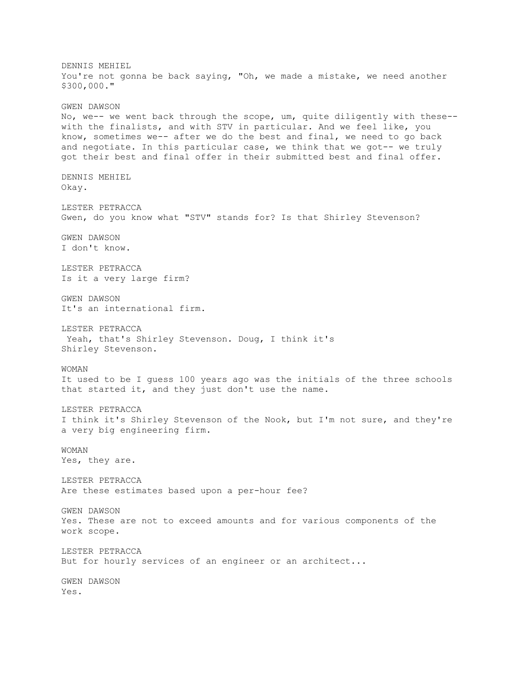DENNIS MEHIEL You're not gonna be back saying, "Oh, we made a mistake, we need another \$300,000." GWEN DAWSON No, we-- we went back through the scope, um, quite diligently with these- with the finalists, and with STV in particular. And we feel like, you know, sometimes we-- after we do the best and final, we need to go back and negotiate. In this particular case, we think that we got-- we truly got their best and final offer in their submitted best and final offer. DENNIS MEHIEL Okay. LESTER PETRACCA Gwen, do you know what "STV" stands for? Is that Shirley Stevenson? GWEN DAWSON I don't know. LESTER PETRACCA Is it a very large firm? GWEN DAWSON It's an international firm. LESTER PETRACCA Yeah, that's Shirley Stevenson. Doug, I think it's Shirley Stevenson. WOMAN It used to be I guess 100 years ago was the initials of the three schools that started it, and they just don't use the name. LESTER PETRACCA I think it's Shirley Stevenson of the Nook, but I'm not sure, and they're a very big engineering firm. WOMAN Yes, they are. LESTER PETRACCA Are these estimates based upon a per-hour fee? GWEN DAWSON Yes. These are not to exceed amounts and for various components of the work scope. LESTER PETRACCA But for hourly services of an engineer or an architect... GWEN DAWSON Yes.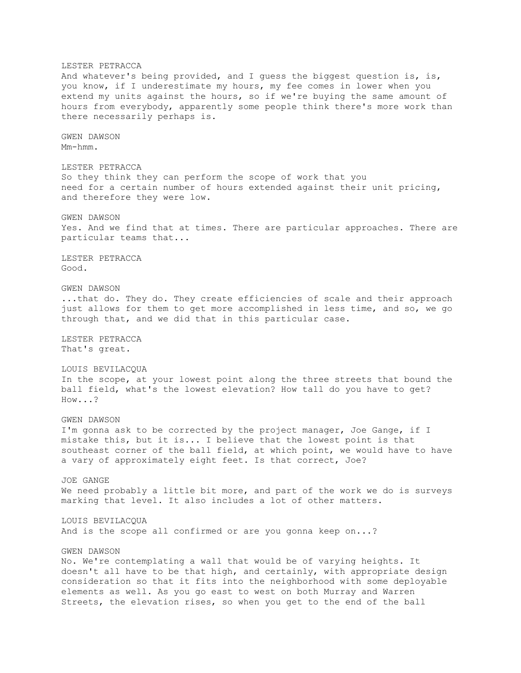LESTER PETRACCA And whatever's being provided, and I guess the biggest question is, is, you know, if I underestimate my hours, my fee comes in lower when you extend my units against the hours, so if we're buying the same amount of hours from everybody, apparently some people think there's more work than there necessarily perhaps is. GWEN DAWSON Mm-hmm. LESTER PETRACCA So they think they can perform the scope of work that you need for a certain number of hours extended against their unit pricing, and therefore they were low. GWEN DAWSON Yes. And we find that at times. There are particular approaches. There are particular teams that... LESTER PETRACCA Good. GWEN DAWSON ...that do. They do. They create efficiencies of scale and their approach just allows for them to get more accomplished in less time, and so, we go through that, and we did that in this particular case. LESTER PETRACCA That's great. LOUIS BEVILACQUA In the scope, at your lowest point along the three streets that bound the ball field, what's the lowest elevation? How tall do you have to get? How...? GWEN DAWSON I'm gonna ask to be corrected by the project manager, Joe Gange, if I mistake this, but it is... I believe that the lowest point is that southeast corner of the ball field, at which point, we would have to have a vary of approximately eight feet. Is that correct, Joe? JOE GANGE We need probably a little bit more, and part of the work we do is surveys marking that level. It also includes a lot of other matters. LOUIS BEVILACQUA And is the scope all confirmed or are you gonna keep on...? GWEN DAWSON No. We're contemplating a wall that would be of varying heights. It doesn't all have to be that high, and certainly, with appropriate design consideration so that it fits into the neighborhood with some deployable elements as well. As you go east to west on both Murray and Warren Streets, the elevation rises, so when you get to the end of the ball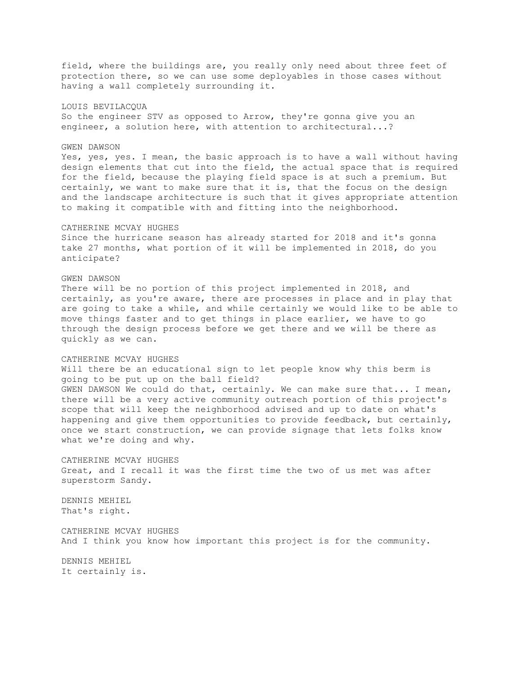field, where the buildings are, you really only need about three feet of protection there, so we can use some deployables in those cases without having a wall completely surrounding it.

# LOUIS BEVILACQUA

So the engineer STV as opposed to Arrow, they're gonna give you an engineer, a solution here, with attention to architectural...?

## GWEN DAWSON

Yes, yes, yes. I mean, the basic approach is to have a wall without having design elements that cut into the field, the actual space that is required for the field, because the playing field space is at such a premium. But certainly, we want to make sure that it is, that the focus on the design and the landscape architecture is such that it gives appropriate attention to making it compatible with and fitting into the neighborhood.

#### CATHERINE MCVAY HUGHES

Since the hurricane season has already started for 2018 and it's gonna take 27 months, what portion of it will be implemented in 2018, do you anticipate?

## GWEN DAWSON

There will be no portion of this project implemented in 2018, and certainly, as you're aware, there are processes in place and in play that are going to take a while, and while certainly we would like to be able to move things faster and to get things in place earlier, we have to go through the design process before we get there and we will be there as quickly as we can.

## CATHERINE MCVAY HUGHES

Will there be an educational sign to let people know why this berm is going to be put up on the ball field? GWEN DAWSON We could do that, certainly. We can make sure that... I mean, there will be a very active community outreach portion of this project's scope that will keep the neighborhood advised and up to date on what's happening and give them opportunities to provide feedback, but certainly, once we start construction, we can provide signage that lets folks know what we're doing and why.

CATHERINE MCVAY HUGHES Great, and I recall it was the first time the two of us met was after superstorm Sandy.

DENNIS MEHIEL That's right.

CATHERINE MCVAY HUGHES And I think you know how important this project is for the community.

DENNIS MEHIEL It certainly is.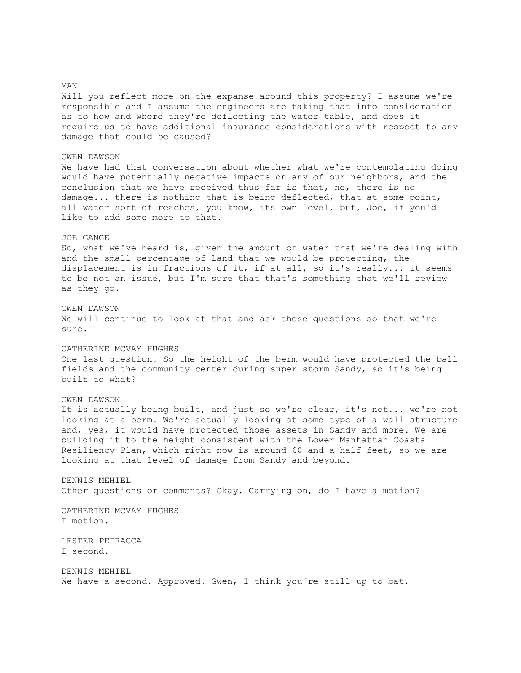MAN Will you reflect more on the expanse around this property? I assume we're responsible and I assume the engineers are taking that into consideration as to how and where they're deflecting the water table, and does it require us to have additional insurance considerations with respect to any damage that could be caused? GWEN DAWSON We have had that conversation about whether what we're contemplating doing would have potentially negative impacts on any of our neighbors, and the conclusion that we have received thus far is that, no, there is no damage... there is nothing that is being deflected, that at some point, all water sort of reaches, you know, its own level, but, Joe, if you'd like to add some more to that. JOE GANGE So, what we've heard is, given the amount of water that we're dealing with and the small percentage of land that we would be protecting, the displacement is in fractions of it, if at all, so it's really... it seems to be not an issue, but I'm sure that that's something that we'll review as they go. GWEN DAWSON We will continue to look at that and ask those questions so that we're sure. CATHERINE MCVAY HUGHES One last question. So the height of the berm would have protected the ball fields and the community center during super storm Sandy, so it's being built to what? GWEN DAWSON It is actually being built, and just so we're clear, it's not... we're not looking at a berm. We're actually looking at some type of a wall structure and, yes, it would have protected those assets in Sandy and more. We are building it to the height consistent with the Lower Manhattan Coastal Resiliency Plan, which right now is around 60 and a half feet, so we are looking at that level of damage from Sandy and beyond. DENNIS MEHIEL Other questions or comments? Okay. Carrying on, do I have a motion? CATHERINE MCVAY HUGHES I motion. LESTER PETRACCA I second. DENNIS MEHIEL We have a second. Approved. Gwen, I think you're still up to bat.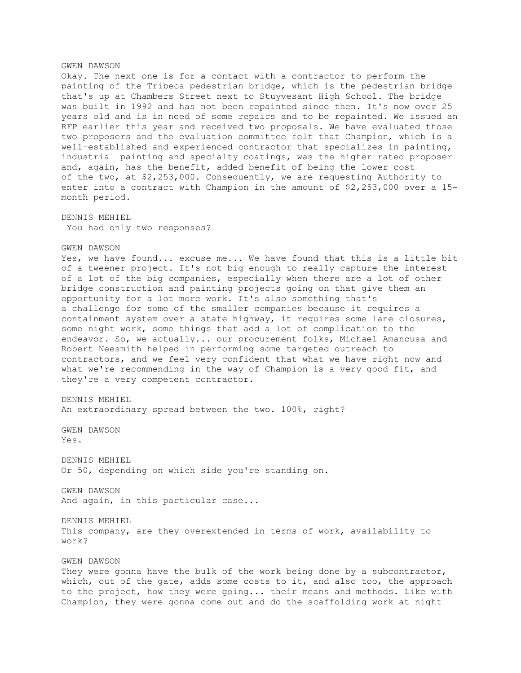# GWEN DAWSON Okay. The next one is for a contact with a contractor to perform the painting of the Tribeca pedestrian bridge, which is the pedestrian bridge that's up at Chambers Street next to Stuyvesant High School. The bridge was built in 1992 and has not been repainted since then. It's now over 25 years old and is in need of some repairs and to be repainted. We issued an RFP earlier this year and received two proposals. We have evaluated those two proposers and the evaluation committee felt that Champion, which is a well-established and experienced contractor that specializes in painting, industrial painting and specialty coatings, was the higher rated proposer and, again, has the benefit, added benefit of being the lower cost of the two, at \$2,253,000. Consequently, we are requesting Authority to enter into a contract with Champion in the amount of \$2,253,000 over a 15 month period. DENNIS MEHIEL You had only two responses? GWEN DAWSON Yes, we have found... excuse me... We have found that this is a little bit of a tweener project. It's not big enough to really capture the interest of a lot of the big companies, especially when there are a lot of other bridge construction and painting projects going on that give them an opportunity for a lot more work. It's also something that's a challenge for some of the smaller companies because it requires a containment system over a state highway, it requires some lane closures, some night work, some things that add a lot of complication to the endeavor. So, we actually... our procurement folks, Michael Amancusa and Robert Neesmith helped in performing some targeted outreach to contractors, and we feel very confident that what we have right now and what we're recommending in the way of Champion is a very good fit, and they're a very competent contractor. DENNIS MEHIEL An extraordinary spread between the two. 100%, right? GWEN DAWSON Yes. DENNIS MEHIEL Or 50, depending on which side you're standing on. GWEN DAWSON And again, in this particular case... DENNIS MEHIEL This company, are they overextended in terms of work, availability to work?

GWEN DAWSON

They were gonna have the bulk of the work being done by a subcontractor, which, out of the gate, adds some costs to it, and also too, the approach to the project, how they were going... their means and methods. Like with Champion, they were gonna come out and do the scaffolding work at night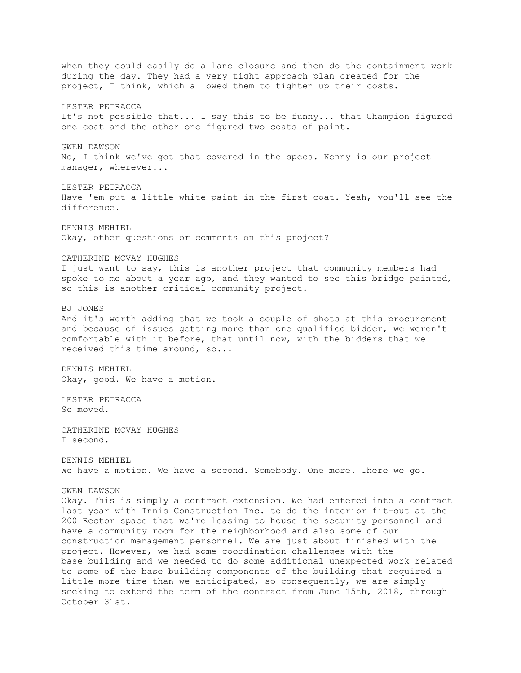when they could easily do a lane closure and then do the containment work during the day. They had a very tight approach plan created for the project, I think, which allowed them to tighten up their costs. LESTER PETRACCA It's not possible that... I say this to be funny... that Champion figured one coat and the other one figured two coats of paint. GWEN DAWSON No, I think we've got that covered in the specs. Kenny is our project manager, wherever... LESTER PETRACCA Have 'em put a little white paint in the first coat. Yeah, you'll see the difference. DENNIS MEHIEL Okay, other questions or comments on this project? CATHERINE MCVAY HUGHES I just want to say, this is another project that community members had spoke to me about a year ago, and they wanted to see this bridge painted, so this is another critical community project. BJ JONES And it's worth adding that we took a couple of shots at this procurement and because of issues getting more than one qualified bidder, we weren't comfortable with it before, that until now, with the bidders that we received this time around, so... DENNIS MEHIEL Okay, good. We have a motion. LESTER PETRACCA So moved. CATHERINE MCVAY HUGHES I second. DENNIS MEHIEL We have a motion. We have a second. Somebody. One more. There we go. GWEN DAWSON Okay. This is simply a contract extension. We had entered into a contract last year with Innis Construction Inc. to do the interior fit-out at the 200 Rector space that we're leasing to house the security personnel and have a community room for the neighborhood and also some of our construction management personnel. We are just about finished with the project. However, we had some coordination challenges with the base building and we needed to do some additional unexpected work related to some of the base building components of the building that required a little more time than we anticipated, so consequently, we are simply seeking to extend the term of the contract from June 15th, 2018, through

October 31st.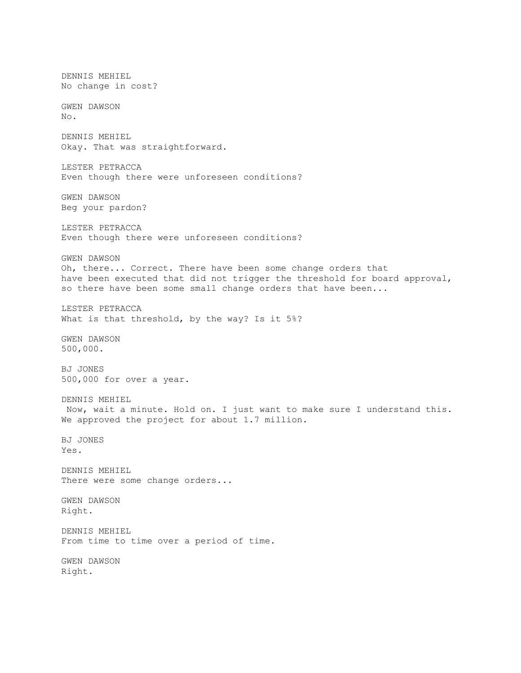DENNIS MEHIEL No change in cost? GWEN DAWSON No. DENNIS MEHIEL Okay. That was straightforward. LESTER PETRACCA Even though there were unforeseen conditions? GWEN DAWSON Beg your pardon? LESTER PETRACCA Even though there were unforeseen conditions? GWEN DAWSON Oh, there... Correct. There have been some change orders that have been executed that did not trigger the threshold for board approval, so there have been some small change orders that have been... LESTER PETRACCA What is that threshold, by the way? Is it 5%? GWEN DAWSON 500,000. BJ JONES 500,000 for over a year. DENNIS MEHIEL Now, wait a minute. Hold on. I just want to make sure I understand this. We approved the project for about 1.7 million. BJ JONES Yes. DENNIS MEHIEL There were some change orders... GWEN DAWSON Right. DENNIS MEHIEL From time to time over a period of time. GWEN DAWSON Right.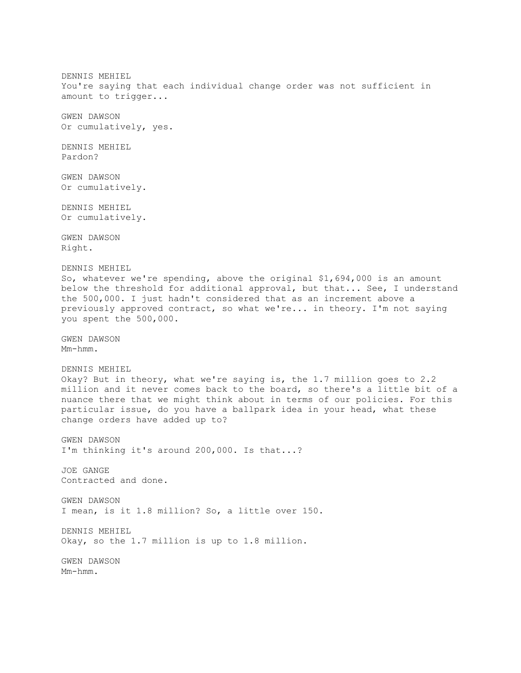DENNIS MEHIEL You're saying that each individual change order was not sufficient in amount to trigger... GWEN DAWSON Or cumulatively, yes. DENNIS MEHIEL Pardon? GWEN DAWSON Or cumulatively. DENNIS MEHIEL Or cumulatively. GWEN DAWSON Right. DENNIS MEHIEL So, whatever we're spending, above the original \$1,694,000 is an amount below the threshold for additional approval, but that... See, I understand the 500,000. I just hadn't considered that as an increment above a previously approved contract, so what we're... in theory. I'm not saying you spent the 500,000. GWEN DAWSON Mm-hmm. DENNIS MEHIEL Okay? But in theory, what we're saying is, the 1.7 million goes to 2.2 million and it never comes back to the board, so there's a little bit of a nuance there that we might think about in terms of our policies. For this particular issue, do you have a ballpark idea in your head, what these change orders have added up to? GWEN DAWSON I'm thinking it's around 200,000. Is that...? JOE GANGE Contracted and done. GWEN DAWSON I mean, is it 1.8 million? So, a little over 150. DENNIS MEHIEL Okay, so the 1.7 million is up to 1.8 million. GWEN DAWSON Mm-hmm.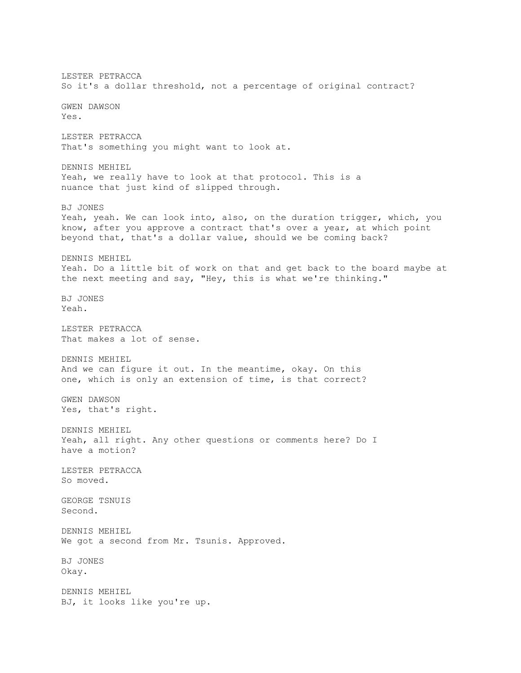LESTER PETRACCA So it's a dollar threshold, not a percentage of original contract? GWEN DAWSON Yes. LESTER PETRACCA That's something you might want to look at. DENNIS MEHIEL Yeah, we really have to look at that protocol. This is a nuance that just kind of slipped through. BJ JONES Yeah, yeah. We can look into, also, on the duration trigger, which, you know, after you approve a contract that's over a year, at which point beyond that, that's a dollar value, should we be coming back? DENNIS MEHIEL Yeah. Do a little bit of work on that and get back to the board maybe at the next meeting and say, "Hey, this is what we're thinking." BJ JONES Yeah. LESTER PETRACCA That makes a lot of sense. DENNIS MEHIEL And we can figure it out. In the meantime, okay. On this one, which is only an extension of time, is that correct? GWEN DAWSON Yes, that's right. DENNIS MEHIEL Yeah, all right. Any other questions or comments here? Do I have a motion? LESTER PETRACCA So moved. GEORGE TSNUIS Second. DENNIS MEHIEL We got a second from Mr. Tsunis. Approved. BJ JONES Okay. DENNIS MEHIEL BJ, it looks like you're up.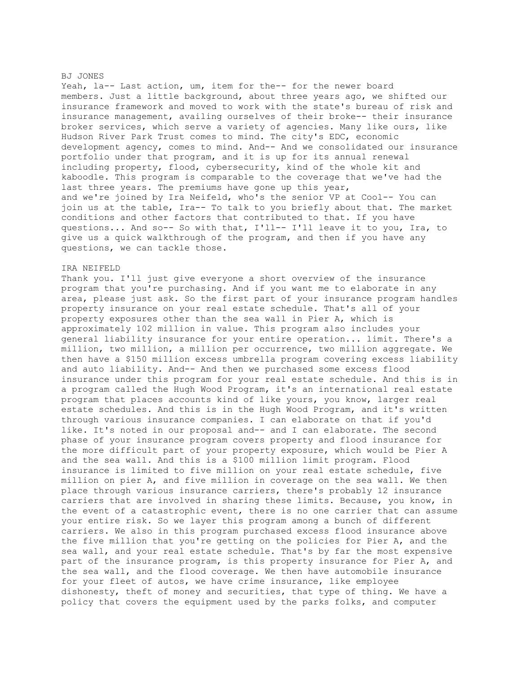#### BJ JONES

Yeah, la-- Last action, um, item for the-- for the newer board members. Just a little background, about three years ago, we shifted our insurance framework and moved to work with the state's bureau of risk and insurance management, availing ourselves of their broke-- their insurance broker services, which serve a variety of agencies. Many like ours, like Hudson River Park Trust comes to mind. The city's EDC, economic development agency, comes to mind. And-- And we consolidated our insurance portfolio under that program, and it is up for its annual renewal including property, flood, cybersecurity, kind of the whole kit and kaboodle. This program is comparable to the coverage that we've had the last three years. The premiums have gone up this year, and we're joined by Ira Neifeld, who's the senior VP at Cool-- You can join us at the table, Ira-- To talk to you briefly about that. The market conditions and other factors that contributed to that. If you have questions... And so-- So with that, I'll-- I'll leave it to you, Ira, to give us a quick walkthrough of the program, and then if you have any questions, we can tackle those.

#### IRA NEIFELD

Thank you. I'll just give everyone a short overview of the insurance program that you're purchasing. And if you want me to elaborate in any area, please just ask. So the first part of your insurance program handles property insurance on your real estate schedule. That's all of your property exposures other than the sea wall in Pier A, which is approximately 102 million in value. This program also includes your general liability insurance for your entire operation... limit. There's a million, two million, a million per occurrence, two million aggregate. We then have a \$150 million excess umbrella program covering excess liability and auto liability. And-- And then we purchased some excess flood insurance under this program for your real estate schedule. And this is in a program called the Hugh Wood Program, it's an international real estate program that places accounts kind of like yours, you know, larger real estate schedules. And this is in the Hugh Wood Program, and it's written through various insurance companies. I can elaborate on that if you'd like. It's noted in our proposal and-- and I can elaborate. The second phase of your insurance program covers property and flood insurance for the more difficult part of your property exposure, which would be Pier A and the sea wall. And this is a \$100 million limit program. Flood insurance is limited to five million on your real estate schedule, five million on pier A, and five million in coverage on the sea wall. We then place through various insurance carriers, there's probably 12 insurance carriers that are involved in sharing these limits. Because, you know, in the event of a catastrophic event, there is no one carrier that can assume your entire risk. So we layer this program among a bunch of different carriers. We also in this program purchased excess flood insurance above the five million that you're getting on the policies for Pier A, and the sea wall, and your real estate schedule. That's by far the most expensive part of the insurance program, is this property insurance for Pier A, and the sea wall, and the flood coverage. We then have automobile insurance for your fleet of autos, we have crime insurance, like employee dishonesty, theft of money and securities, that type of thing. We have a policy that covers the equipment used by the parks folks, and computer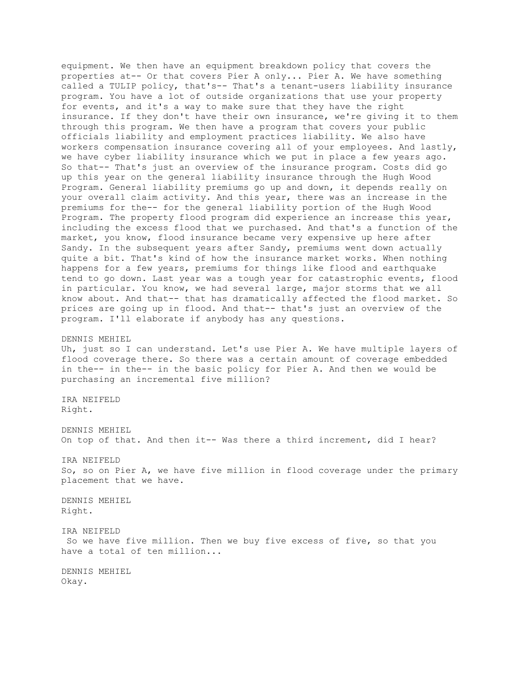equipment. We then have an equipment breakdown policy that covers the properties at-- Or that covers Pier A only... Pier A. We have something called a TULIP policy, that's-- That's a tenant-users liability insurance program. You have a lot of outside organizations that use your property for events, and it's a way to make sure that they have the right insurance. If they don't have their own insurance, we're giving it to them through this program. We then have a program that covers your public officials liability and employment practices liability. We also have workers compensation insurance covering all of your employees. And lastly, we have cyber liability insurance which we put in place a few years ago. So that-- That's just an overview of the insurance program. Costs did go up this year on the general liability insurance through the Hugh Wood Program. General liability premiums go up and down, it depends really on your overall claim activity. And this year, there was an increase in the premiums for the-- for the general liability portion of the Hugh Wood Program. The property flood program did experience an increase this year, including the excess flood that we purchased. And that's a function of the market, you know, flood insurance became very expensive up here after Sandy. In the subsequent years after Sandy, premiums went down actually quite a bit. That's kind of how the insurance market works. When nothing happens for a few years, premiums for things like flood and earthquake tend to go down. Last year was a tough year for catastrophic events, flood in particular. You know, we had several large, major storms that we all know about. And that-- that has dramatically affected the flood market. So prices are going up in flood. And that-- that's just an overview of the program. I'll elaborate if anybody has any questions.

## DENNIS MEHIEL

Uh, just so I can understand. Let's use Pier A. We have multiple layers of flood coverage there. So there was a certain amount of coverage embedded in the-- in the-- in the basic policy for Pier A. And then we would be purchasing an incremental five million?

IRA NEIFELD Right.

DENNIS MEHIEL On top of that. And then it-- Was there a third increment, did I hear?

IRA NEIFELD

So, so on Pier A, we have five million in flood coverage under the primary placement that we have.

DENNIS MEHIEL Right.

IRA NEIFELD

So we have five million. Then we buy five excess of five, so that you have a total of ten million...

DENNIS MEHIEL Okay.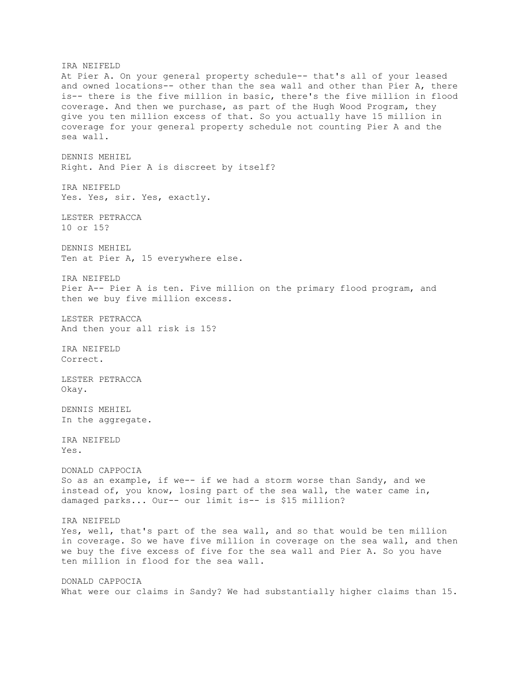IRA NEIFELD At Pier A. On your general property schedule-- that's all of your leased and owned locations-- other than the sea wall and other than Pier A, there is-- there is the five million in basic, there's the five million in flood coverage. And then we purchase, as part of the Hugh Wood Program, they give you ten million excess of that. So you actually have 15 million in coverage for your general property schedule not counting Pier A and the sea wall. DENNIS MEHIEL Right. And Pier A is discreet by itself? IRA NEIFELD Yes. Yes, sir. Yes, exactly. LESTER PETRACCA 10 or 15? DENNIS MEHIEL Ten at Pier A, 15 everywhere else. IRA NEIFELD Pier A-- Pier A is ten. Five million on the primary flood program, and then we buy five million excess. LESTER PETRACCA And then your all risk is 15? IRA NEIFELD Correct. LESTER PETRACCA Okay. DENNIS MEHIEL In the aggregate. IRA NEIFELD Yes. DONALD CAPPOCIA So as an example, if we-- if we had a storm worse than Sandy, and we instead of, you know, losing part of the sea wall, the water came in, damaged parks... Our-- our limit is-- is \$15 million? IRA NEIFELD Yes, well, that's part of the sea wall, and so that would be ten million in coverage. So we have five million in coverage on the sea wall, and then we buy the five excess of five for the sea wall and Pier A. So you have ten million in flood for the sea wall. DONALD CAPPOCIA What were our claims in Sandy? We had substantially higher claims than 15.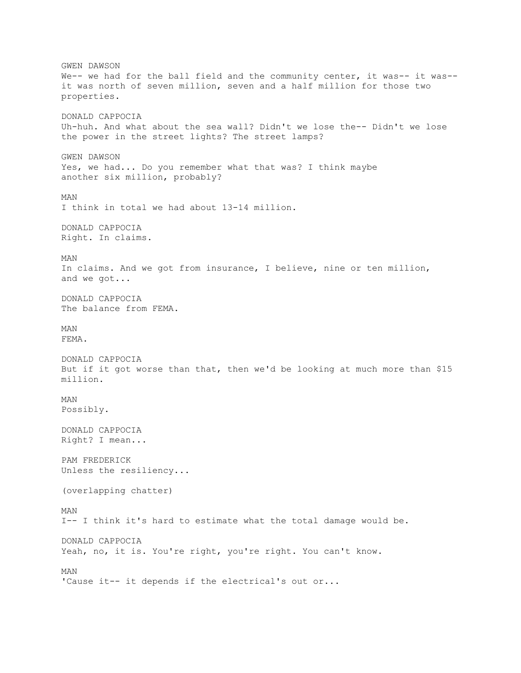GWEN DAWSON We-- we had for the ball field and the community center, it was-- it was-it was north of seven million, seven and a half million for those two properties. DONALD CAPPOCIA Uh-huh. And what about the sea wall? Didn't we lose the-- Didn't we lose the power in the street lights? The street lamps? GWEN DAWSON Yes, we had... Do you remember what that was? I think maybe another six million, probably? MAN I think in total we had about 13-14 million. DONALD CAPPOCIA Right. In claims. MAN In claims. And we got from insurance, I believe, nine or ten million, and we got... DONALD CAPPOCIA The balance from FEMA. MAN FEMA. DONALD CAPPOCIA But if it got worse than that, then we'd be looking at much more than \$15 million. MAN Possibly. DONALD CAPPOCIA Right? I mean... PAM FREDERICK Unless the resiliency... (overlapping chatter) MAN I-- I think it's hard to estimate what the total damage would be. DONALD CAPPOCIA Yeah, no, it is. You're right, you're right. You can't know. MAN 'Cause it-- it depends if the electrical's out or...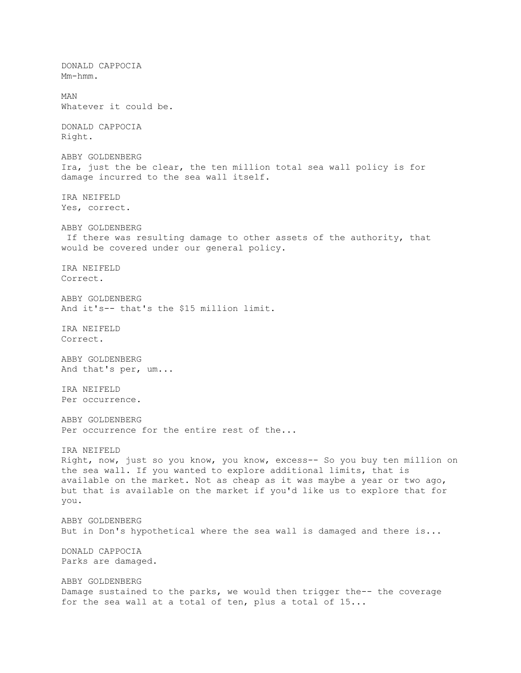DONALD CAPPOCIA Mm-hmm. MAN Whatever it could be. DONALD CAPPOCIA Right. ABBY GOLDENBERG Ira, just the be clear, the ten million total sea wall policy is for damage incurred to the sea wall itself. IRA NEIFELD Yes, correct. ABBY GOLDENBERG If there was resulting damage to other assets of the authority, that would be covered under our general policy. IRA NEIFELD Correct. ABBY GOLDENBERG And it's-- that's the \$15 million limit. IRA NEIFELD Correct. ABBY GOLDENBERG And that's per, um... IRA NEIFELD Per occurrence. ABBY GOLDENBERG Per occurrence for the entire rest of the... IRA NEIFELD Right, now, just so you know, you know, excess-- So you buy ten million on the sea wall. If you wanted to explore additional limits, that is available on the market. Not as cheap as it was maybe a year or two ago, but that is available on the market if you'd like us to explore that for you. ABBY GOLDENBERG But in Don's hypothetical where the sea wall is damaged and there is... DONALD CAPPOCIA Parks are damaged. ABBY GOLDENBERG Damage sustained to the parks, we would then trigger the-- the coverage for the sea wall at a total of ten, plus a total of 15...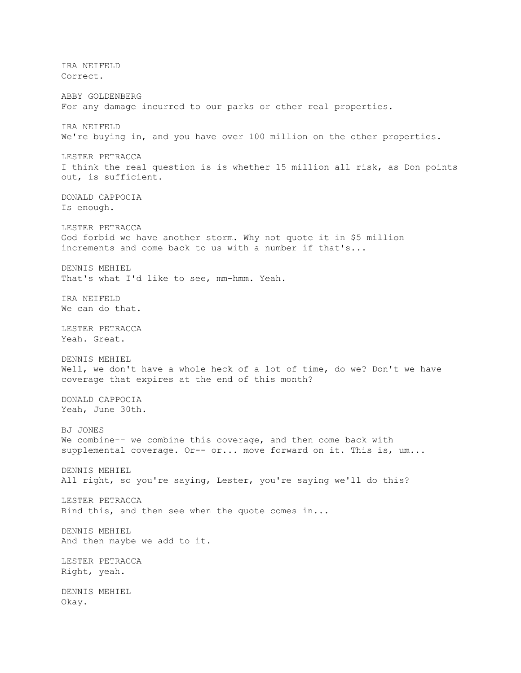IRA NEIFELD Correct. ABBY GOLDENBERG For any damage incurred to our parks or other real properties. IRA NEIFELD We're buying in, and you have over 100 million on the other properties. LESTER PETRACCA I think the real question is is whether 15 million all risk, as Don points out, is sufficient. DONALD CAPPOCIA Is enough. LESTER PETRACCA God forbid we have another storm. Why not quote it in \$5 million increments and come back to us with a number if that's... DENNIS MEHIEL That's what I'd like to see, mm-hmm. Yeah. IRA NEIFELD We can do that. LESTER PETRACCA Yeah. Great. DENNIS MEHIEL Well, we don't have a whole heck of a lot of time, do we? Don't we have coverage that expires at the end of this month? DONALD CAPPOCIA Yeah, June 30th. BJ JONES We combine-- we combine this coverage, and then come back with supplemental coverage. Or-- or... move forward on it. This is, um... DENNIS MEHIEL All right, so you're saying, Lester, you're saying we'll do this? LESTER PETRACCA Bind this, and then see when the quote comes in... DENNIS MEHIEL And then maybe we add to it. LESTER PETRACCA Right, yeah. DENNIS MEHIEL Okay.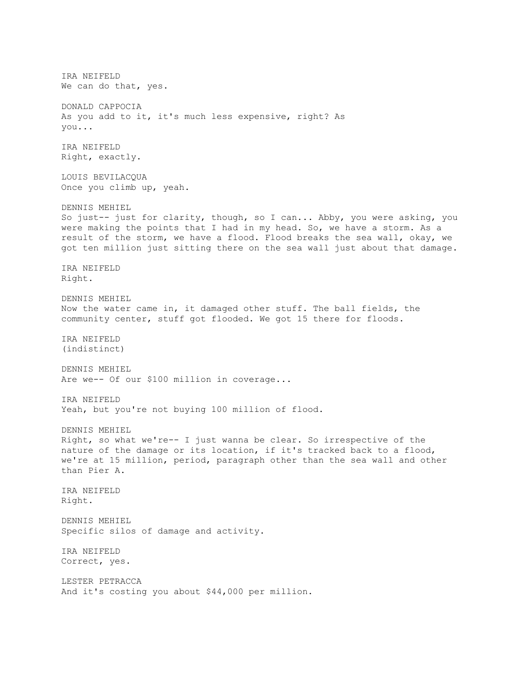IRA NEIFELD We can do that, yes. DONALD CAPPOCIA As you add to it, it's much less expensive, right? As you... IRA NEIFELD Right, exactly. LOUIS BEVILACQUA Once you climb up, yeah. DENNIS MEHIEL So just-- just for clarity, though, so I can... Abby, you were asking, you were making the points that I had in my head. So, we have a storm. As a result of the storm, we have a flood. Flood breaks the sea wall, okay, we got ten million just sitting there on the sea wall just about that damage. IRA NEIFELD Right. DENNIS MEHIEL Now the water came in, it damaged other stuff. The ball fields, the community center, stuff got flooded. We got 15 there for floods. IRA NEIFELD (indistinct) DENNIS MEHIEL Are we-- Of our \$100 million in coverage... IRA NEIFELD Yeah, but you're not buying 100 million of flood. DENNIS MEHIEL Right, so what we're-- I just wanna be clear. So irrespective of the nature of the damage or its location, if it's tracked back to a flood, we're at 15 million, period, paragraph other than the sea wall and other than Pier A. IRA NEIFELD Right. DENNIS MEHIEL Specific silos of damage and activity. IRA NEIFELD Correct, yes. LESTER PETRACCA And it's costing you about \$44,000 per million.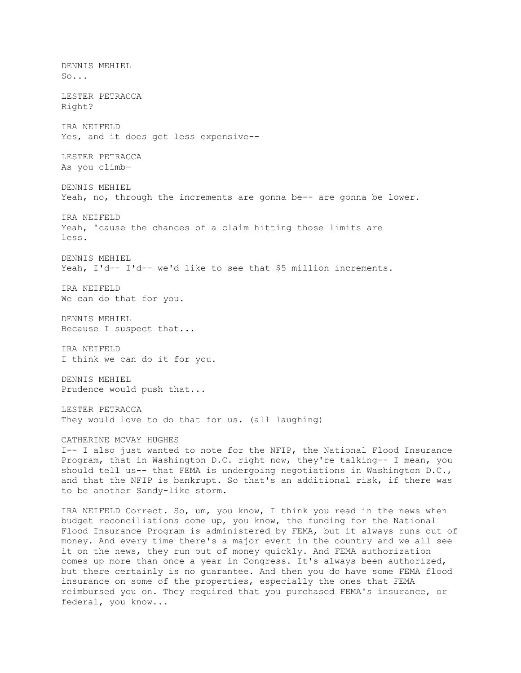DENNIS MEHIEL So... LESTER PETRACCA Right? IRA NEIFELD Yes, and it does get less expensive-- LESTER PETRACCA As you climb— DENNIS MEHIEL Yeah, no, through the increments are gonna be-- are gonna be lower. IRA NEIFELD Yeah, 'cause the chances of a claim hitting those limits are less. DENNIS MEHIEL Yeah, I'd-- I'd-- we'd like to see that \$5 million increments. IRA NEIFELD We can do that for you. DENNIS MEHIEL Because I suspect that... IRA NEIFELD I think we can do it for you. DENNIS MEHIEL Prudence would push that... LESTER PETRACCA They would love to do that for us. (all laughing) CATHERINE MCVAY HUGHES I-- I also just wanted to note for the NFIP, the National Flood Insurance Program, that in Washington D.C. right now, they're talking-- I mean, you should tell us-- that FEMA is undergoing negotiations in Washington D.C., and that the NFIP is bankrupt. So that's an additional risk, if there was to be another Sandy-like storm. IRA NEIFELD Correct. So, um, you know, I think you read in the news when budget reconciliations come up, you know, the funding for the National Flood Insurance Program is administered by FEMA, but it always runs out of money. And every time there's a major event in the country and we all see it on the news, they run out of money quickly. And FEMA authorization comes up more than once a year in Congress. It's always been authorized, but there certainly is no guarantee. And then you do have some FEMA flood insurance on some of the properties, especially the ones that FEMA

reimbursed you on. They required that you purchased FEMA's insurance, or

federal, you know...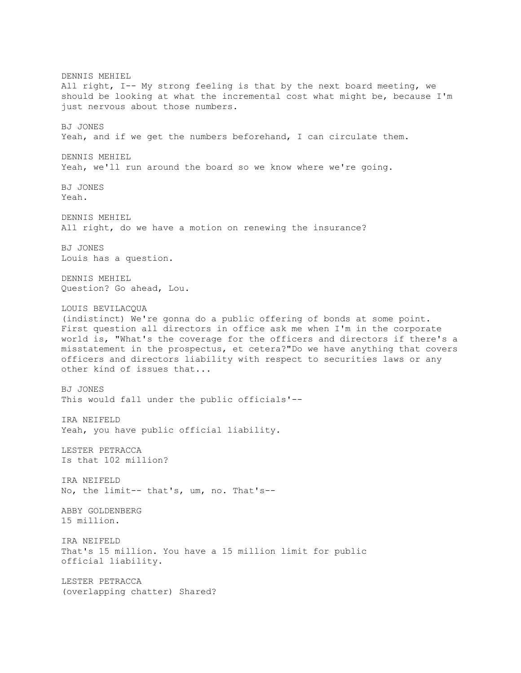DENNIS MEHIEL All right, I-- My strong feeling is that by the next board meeting, we should be looking at what the incremental cost what might be, because I'm just nervous about those numbers. BJ JONES Yeah, and if we get the numbers beforehand, I can circulate them. DENNIS MEHIEL Yeah, we'll run around the board so we know where we're going. BJ JONES Yeah. DENNIS MEHIEL All right, do we have a motion on renewing the insurance? BJ JONES Louis has a question. DENNIS MEHIEL Question? Go ahead, Lou. LOUIS BEVILACQUA (indistinct) We're gonna do a public offering of bonds at some point. First question all directors in office ask me when I'm in the corporate world is, "What's the coverage for the officers and directors if there's a misstatement in the prospectus, et cetera?"Do we have anything that covers officers and directors liability with respect to securities laws or any other kind of issues that... BJ JONES This would fall under the public officials'-- IRA NEIFELD Yeah, you have public official liability. LESTER PETRACCA Is that 102 million? IRA NEIFELD No, the limit-- that's, um, no. That's-- ABBY GOLDENBERG 15 million. IRA NEIFELD That's 15 million. You have a 15 million limit for public official liability. LESTER PETRACCA (overlapping chatter) Shared?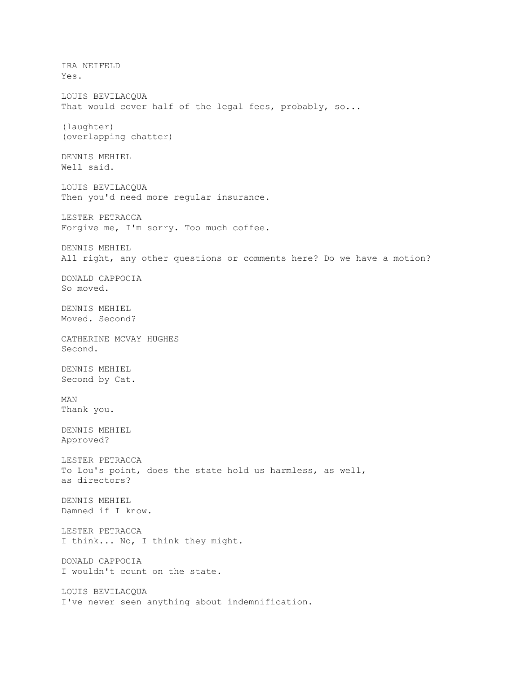IRA NEIFELD Yes. LOUIS BEVILACQUA That would cover half of the legal fees, probably, so... (laughter) (overlapping chatter) DENNIS MEHIEL Well said. LOUIS BEVILACQUA Then you'd need more regular insurance. LESTER PETRACCA Forgive me, I'm sorry. Too much coffee. DENNIS MEHIEL All right, any other questions or comments here? Do we have a motion? DONALD CAPPOCIA So moved. DENNIS MEHIEL Moved. Second? CATHERINE MCVAY HUGHES Second. DENNIS MEHIEL Second by Cat. MAN Thank you. DENNIS MEHIEL Approved? LESTER PETRACCA To Lou's point, does the state hold us harmless, as well, as directors? DENNIS MEHIEL Damned if I know. LESTER PETRACCA I think... No, I think they might. DONALD CAPPOCIA I wouldn't count on the state. LOUIS BEVILACQUA I've never seen anything about indemnification.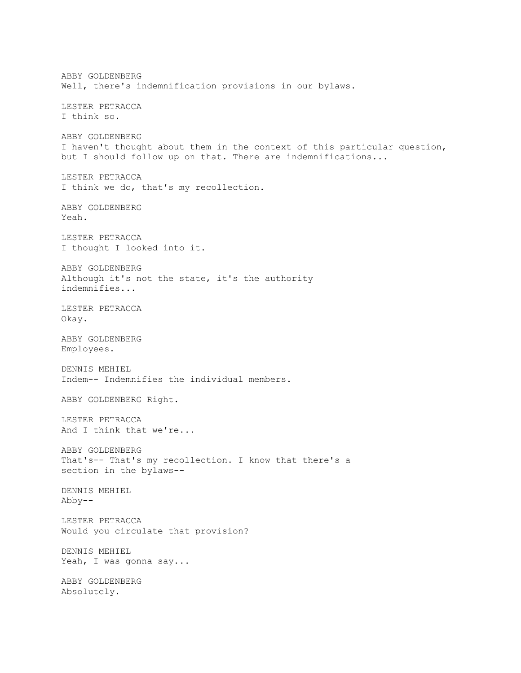ABBY GOLDENBERG Well, there's indemnification provisions in our bylaws. LESTER PETRACCA I think so. ABBY GOLDENBERG I haven't thought about them in the context of this particular question, but I should follow up on that. There are indemnifications... LESTER PETRACCA I think we do, that's my recollection. ABBY GOLDENBERG Yeah. LESTER PETRACCA I thought I looked into it. ABBY GOLDENBERG Although it's not the state, it's the authority indemnifies... LESTER PETRACCA Okay. ABBY GOLDENBERG Employees. DENNIS MEHIEL Indem-- Indemnifies the individual members. ABBY GOLDENBERG Right. LESTER PETRACCA And I think that we're... ABBY GOLDENBERG That's-- That's my recollection. I know that there's a section in the bylaws-- DENNIS MEHIEL Abby-- LESTER PETRACCA Would you circulate that provision? DENNIS MEHIEL Yeah, I was gonna say... ABBY GOLDENBERG Absolutely.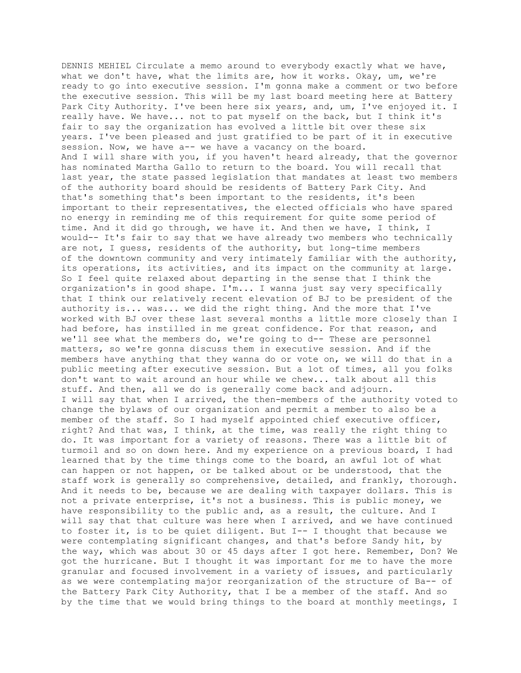DENNIS MEHIEL Circulate a memo around to everybody exactly what we have, what we don't have, what the limits are, how it works. Okay, um, we're ready to go into executive session. I'm gonna make a comment or two before the executive session. This will be my last board meeting here at Battery Park City Authority. I've been here six years, and, um, I've enjoyed it. I really have. We have... not to pat myself on the back, but I think it's fair to say the organization has evolved a little bit over these six years. I've been pleased and just gratified to be part of it in executive session. Now, we have a-- we have a vacancy on the board. And I will share with you, if you haven't heard already, that the governor has nominated Martha Gallo to return to the board. You will recall that last year, the state passed legislation that mandates at least two members of the authority board should be residents of Battery Park City. And that's something that's been important to the residents, it's been important to their representatives, the elected officials who have spared no energy in reminding me of this requirement for quite some period of time. And it did go through, we have it. And then we have, I think, I would-- It's fair to say that we have already two members who technically are not, I guess, residents of the authority, but long-time members of the downtown community and very intimately familiar with the authority, its operations, its activities, and its impact on the community at large. So I feel quite relaxed about departing in the sense that I think the organization's in good shape. I'm... I wanna just say very specifically that I think our relatively recent elevation of BJ to be president of the authority is... was... we did the right thing. And the more that I've worked with BJ over these last several months a little more closely than I had before, has instilled in me great confidence. For that reason, and we'll see what the members do, we're going to d-- These are personnel matters, so we're gonna discuss them in executive session. And if the members have anything that they wanna do or vote on, we will do that in a public meeting after executive session. But a lot of times, all you folks don't want to wait around an hour while we chew... talk about all this stuff. And then, all we do is generally come back and adjourn. I will say that when I arrived, the then-members of the authority voted to change the bylaws of our organization and permit a member to also be a member of the staff. So I had myself appointed chief executive officer, right? And that was, I think, at the time, was really the right thing to do. It was important for a variety of reasons. There was a little bit of turmoil and so on down here. And my experience on a previous board, I had learned that by the time things come to the board, an awful lot of what can happen or not happen, or be talked about or be understood, that the staff work is generally so comprehensive, detailed, and frankly, thorough. And it needs to be, because we are dealing with taxpayer dollars. This is not a private enterprise, it's not a business. This is public money, we have responsibility to the public and, as a result, the culture. And I will say that that culture was here when I arrived, and we have continued to foster it, is to be quiet diligent. But I-- I thought that because we were contemplating significant changes, and that's before Sandy hit, by the way, which was about 30 or 45 days after I got here. Remember, Don? We got the hurricane. But I thought it was important for me to have the more granular and focused involvement in a variety of issues, and particularly as we were contemplating major reorganization of the structure of Ba-- of the Battery Park City Authority, that I be a member of the staff. And so by the time that we would bring things to the board at monthly meetings, I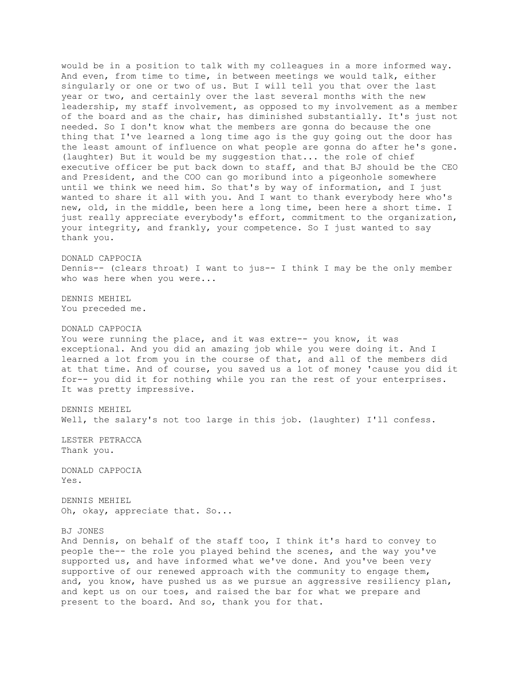would be in a position to talk with my colleagues in a more informed way. And even, from time to time, in between meetings we would talk, either singularly or one or two of us. But I will tell you that over the last year or two, and certainly over the last several months with the new leadership, my staff involvement, as opposed to my involvement as a member of the board and as the chair, has diminished substantially. It's just not needed. So I don't know what the members are gonna do because the one thing that I've learned a long time ago is the guy going out the door has the least amount of influence on what people are gonna do after he's gone. (laughter) But it would be my suggestion that... the role of chief executive officer be put back down to staff, and that BJ should be the CEO and President, and the COO can go moribund into a pigeonhole somewhere until we think we need him. So that's by way of information, and I just wanted to share it all with you. And I want to thank everybody here who's new, old, in the middle, been here a long time, been here a short time. I just really appreciate everybody's effort, commitment to the organization, your integrity, and frankly, your competence. So I just wanted to say thank you.

DONALD CAPPOCIA Dennis-- (clears throat) I want to jus-- I think I may be the only member who was here when you were...

DENNIS MEHIEL You preceded me.

DONALD CAPPOCIA

You were running the place, and it was extre-- you know, it was exceptional. And you did an amazing job while you were doing it. And I learned a lot from you in the course of that, and all of the members did at that time. And of course, you saved us a lot of money 'cause you did it for-- you did it for nothing while you ran the rest of your enterprises. It was pretty impressive.

DENNIS MEHIEL Well, the salary's not too large in this job. (laughter) I'll confess.

LESTER PETRACCA Thank you.

DONALD CAPPOCIA Yes.

DENNIS MEHIEL Oh, okay, appreciate that. So...

BJ JONES

And Dennis, on behalf of the staff too, I think it's hard to convey to people the-- the role you played behind the scenes, and the way you've supported us, and have informed what we've done. And you've been very supportive of our renewed approach with the community to engage them, and, you know, have pushed us as we pursue an aggressive resiliency plan, and kept us on our toes, and raised the bar for what we prepare and present to the board. And so, thank you for that.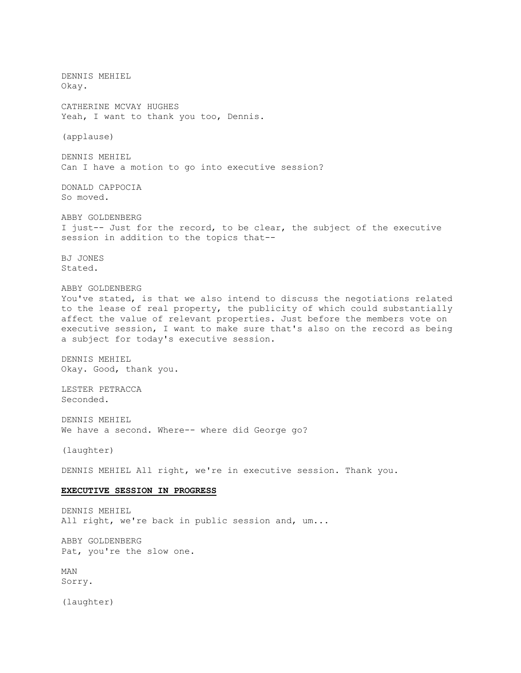DENNIS MEHIEL Okay. CATHERINE MCVAY HUGHES Yeah, I want to thank you too, Dennis. (applause) DENNIS MEHIEL Can I have a motion to go into executive session? DONALD CAPPOCIA So moved. ABBY GOLDENBERG I just-- Just for the record, to be clear, the subject of the executive session in addition to the topics that-- BJ JONES Stated. ABBY GOLDENBERG You've stated, is that we also intend to discuss the negotiations related to the lease of real property, the publicity of which could substantially affect the value of relevant properties. Just before the members vote on executive session, I want to make sure that's also on the record as being a subject for today's executive session. DENNIS MEHIEL Okay. Good, thank you. LESTER PETRACCA Seconded. DENNIS MEHIEL We have a second. Where-- where did George go? (laughter) DENNIS MEHIEL All right, we're in executive session. Thank you. **EXECUTIVE SESSION IN PROGRESS** DENNIS MEHIEL All right, we're back in public session and, um... ABBY GOLDENBERG Pat, you're the slow one. MAN Sorry. (laughter)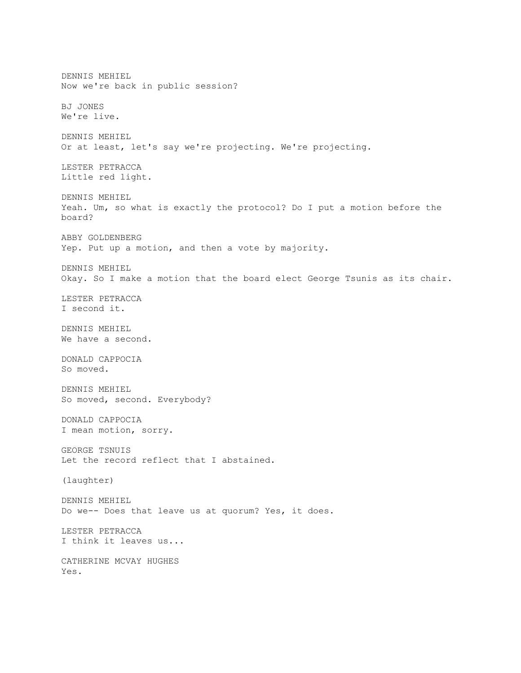DENNIS MEHIEL Now we're back in public session? BJ JONES We're live. DENNIS MEHIEL Or at least, let's say we're projecting. We're projecting. LESTER PETRACCA Little red light. DENNIS MEHIEL Yeah. Um, so what is exactly the protocol? Do I put a motion before the board? ABBY GOLDENBERG Yep. Put up a motion, and then a vote by majority. DENNIS MEHIEL Okay. So I make a motion that the board elect George Tsunis as its chair. LESTER PETRACCA I second it. DENNIS MEHIEL We have a second. DONALD CAPPOCIA So moved. DENNIS MEHIEL So moved, second. Everybody? DONALD CAPPOCIA I mean motion, sorry. GEORGE TSNUIS Let the record reflect that I abstained. (laughter) DENNIS MEHIEL Do we-- Does that leave us at quorum? Yes, it does. LESTER PETRACCA I think it leaves us... CATHERINE MCVAY HUGHES Yes.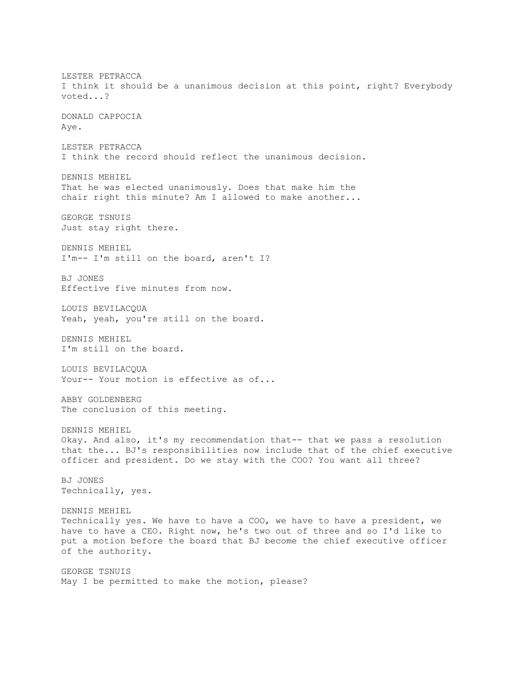LESTER PETRACCA I think it should be a unanimous decision at this point, right? Everybody voted...? DONALD CAPPOCIA Aye. LESTER PETRACCA I think the record should reflect the unanimous decision. DENNIS MEHIEL That he was elected unanimously. Does that make him the chair right this minute? Am I allowed to make another... GEORGE TSNUIS Just stay right there. DENNIS MEHIEL I'm-- I'm still on the board, aren't I? BJ JONES Effective five minutes from now. LOUIS BEVILACQUA Yeah, yeah, you're still on the board. DENNIS MEHIEL I'm still on the board. LOUIS BEVILACQUA Your-- Your motion is effective as of... ABBY GOLDENBERG The conclusion of this meeting. DENNIS MEHIEL Okay. And also, it's my recommendation that-- that we pass a resolution that the... BJ's responsibilities now include that of the chief executive officer and president. Do we stay with the COO? You want all three? BJ JONES Technically, yes. DENNIS MEHIEL Technically yes. We have to have a COO, we have to have a president, we have to have a CEO. Right now, he's two out of three and so I'd like to put a motion before the board that BJ become the chief executive officer of the authority. GEORGE TSNUIS May I be permitted to make the motion, please?